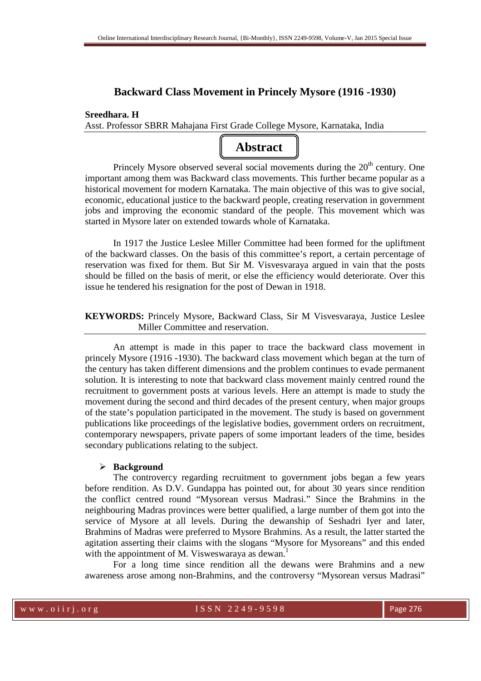# **Backward Class Movement in Princely Mysore (1916 -1930)**

# **Sreedhara. H**

Asst. Professor SBRR Mahajana First Grade College Mysore, Karnataka, India

# **Abstract**

Princely Mysore observed several social movements during the  $20<sup>th</sup>$  century. One important among them was Backward class movements. This further became popular as a historical movement for modern Karnataka. The main objective of this was to give social, economic, educational justice to the backward people, creating reservation in government jobs and improving the economic standard of the people. This movement which was started in Mysore later on extended towards whole of Karnataka.

In 1917 the Justice Leslee Miller Committee had been formed for the upliftment of the backward classes. On the basis of this committee's report, a certain percentage of reservation was fixed for them. But Sir M. Visvesvaraya argued in vain that the posts should be filled on the basis of merit, or else the efficiency would deteriorate. Over this issue he tendered his resignation for the post of Dewan in 1918.

# **KEYWORDS:** Princely Mysore, Backward Class, Sir M Visvesvaraya, Justice Leslee Miller Committee and reservation.

 An attempt is made in this paper to trace the backward class movement in princely Mysore (1916 -1930). The backward class movement which began at the turn of the century has taken different dimensions and the problem continues to evade permanent solution. It is interesting to note that backward class movement mainly centred round the recruitment to government posts at various levels. Here an attempt is made to study the movement during the second and third decades of the present century, when major groups of the state's population participated in the movement. The study is based on government publications like proceedings of the legislative bodies, government orders on recruitment, contemporary newspapers, private papers of some important leaders of the time, besides secondary publications relating to the subject.

## **Background**

 The controvercy regarding recruitment to government jobs began a few years before rendition. As D.V. Gundappa has pointed out, for about 30 years since rendition the conflict centred round "Mysorean versus Madrasi." Since the Brahmins in the neighbouring Madras provinces were better qualified, a large number of them got into the service of Mysore at all levels. During the dewanship of Seshadri Iyer and later, Brahmins of Madras were preferred to Mysore Brahmins. As a result, the latter started the agitation asserting their claims with the slogans "Mysore for Mysoreans" and this ended with the appointment of M. Visweswaraya as dewan.<sup>1</sup>

 For a long time since rendition all the dewans were Brahmins and a new awareness arose among non-Brahmins, and the controversy "Mysorean versus Madrasi"

#### w w w . o i i r j . o r g I S S N 2 2 4 9 - 9 5 9 8 Page 276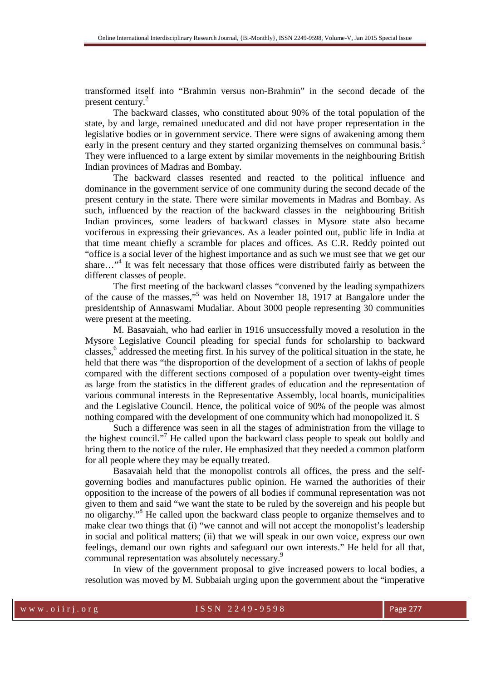transformed itself into "Brahmin versus non-Brahmin" in the second decade of the present century.<sup>2</sup>

 The backward classes, who constituted about 90% of the total population of the state, by and large, remained uneducated and did not have proper representation in the legislative bodies or in government service. There were signs of awakening among them early in the present century and they started organizing themselves on communal basis.<sup>3</sup> They were influenced to a large extent by similar movements in the neighbouring British Indian provinces of Madras and Bombay.

The backward classes resented and reacted to the political influence and dominance in the government service of one community during the second decade of the present century in the state. There were similar movements in Madras and Bombay. As such, influenced by the reaction of the backward classes in the neighbouring British Indian provinces, some leaders of backward classes in Mysore state also became vociferous in expressing their grievances. As a leader pointed out, public life in India at that time meant chiefly a scramble for places and offices. As C.R. Reddy pointed out "office is a social lever of the highest importance and as such we must see that we get our share..."<sup>4</sup> It was felt necessary that those offices were distributed fairly as between the different classes of people.

The first meeting of the backward classes "convened by the leading sympathizers of the cause of the masses,"<sup>5</sup> was held on November 18, 1917 at Bangalore under the presidentship of Annaswami Mudaliar. About 3000 people representing 30 communities were present at the meeting.

M. Basavaiah, who had earlier in 1916 unsuccessfully moved a resolution in the Mysore Legislative Council pleading for special funds for scholarship to backward classes,<sup>6</sup> addressed the meeting first. In his survey of the political situation in the state, he held that there was "the disproportion of the development of a section of lakhs of people compared with the different sections composed of a population over twenty-eight times as large from the statistics in the different grades of education and the representation of various communal interests in the Representative Assembly, local boards, municipalities and the Legislative Council. Hence, the political voice of 90% of the people was almost nothing compared with the development of one community which had monopolized it. S

Such a difference was seen in all the stages of administration from the village to the highest council."<sup>7</sup> He called upon the backward class people to speak out boldly and bring them to the notice of the ruler. He emphasized that they needed a common platform for all people where they may be equally treated.

Basavaiah held that the monopolist controls all offices, the press and the selfgoverning bodies and manufactures public opinion. He warned the authorities of their opposition to the increase of the powers of all bodies if communal representation was not given to them and said "we want the state to be ruled by the sovereign and his people but no oligarchy."<sup>8</sup> He called upon the backward class people to organize themselves and to make clear two things that (i) "we cannot and will not accept the monopolist's leadership in social and political matters; (ii) that we will speak in our own voice, express our own feelings, demand our own rights and safeguard our own interests." He held for all that, communal representation was absolutely necessary.<sup>9</sup>

In view of the government proposal to give increased powers to local bodies, a resolution was moved by M. Subbaiah urging upon the government about the "imperative

#### w w w . o i i r j . o r g I S S N 2 2 4 9 - 9 5 9 8 Page 277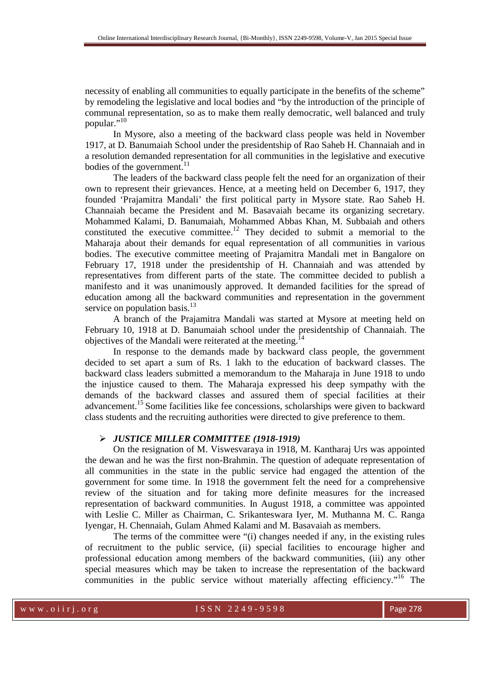necessity of enabling all communities to equally participate in the benefits of the scheme" by remodeling the legislative and local bodies and "by the introduction of the principle of communal representation, so as to make them really democratic, well balanced and truly popular."<sup>10</sup>

 In Mysore, also a meeting of the backward class people was held in November 1917, at D. Banumaiah School under the presidentship of Rao Saheb H. Channaiah and in a resolution demanded representation for all communities in the legislative and executive bodies of the government.<sup>11</sup>

 The leaders of the backward class people felt the need for an organization of their own to represent their grievances. Hence, at a meeting held on December 6, 1917, they founded 'Prajamitra Mandali' the first political party in Mysore state. Rao Saheb H. Channaiah became the President and M. Basavaiah became its organizing secretary. Mohammed Kalami, D. Banumaiah, Mohammed Abbas Khan, M. Subbaiah and others constituted the executive committee.<sup>12</sup> They decided to submit a memorial to the Maharaja about their demands for equal representation of all communities in various bodies. The executive committee meeting of Prajamitra Mandali met in Bangalore on February 17, 1918 under the presidentship of H. Channaiah and was attended by representatives from different parts of the state. The committee decided to publish a manifesto and it was unanimously approved. It demanded facilities for the spread of education among all the backward communities and representation in the government service on population basis. $^{13}$ 

 A branch of the Prajamitra Mandali was started at Mysore at meeting held on February 10, 1918 at D. Banumaiah school under the presidentship of Channaiah. The objectives of the Mandali were reiterated at the meeting.<sup>14</sup>

 In response to the demands made by backward class people, the government decided to set apart a sum of Rs. 1 lakh to the education of backward classes. The backward class leaders submitted a memorandum to the Maharaja in June 1918 to undo the injustice caused to them. The Maharaja expressed his deep sympathy with the demands of the backward classes and assured them of special facilities at their advancement.<sup>15</sup> Some facilities like fee concessions, scholarships were given to backward class students and the recruiting authorities were directed to give preference to them.

### *JUSTICE MILLER COMMITTEE (1918-1919)*

 On the resignation of M. Viswesvaraya in 1918, M. Kantharaj Urs was appointed the dewan and he was the first non-Brahmin. The question of adequate representation of all communities in the state in the public service had engaged the attention of the government for some time. In 1918 the government felt the need for a comprehensive review of the situation and for taking more definite measures for the increased representation of backward communities. In August 1918, a committee was appointed with Leslie C. Miller as Chairman, C. Srikanteswara Iyer, M. Muthanna M. C. Ranga Iyengar, H. Chennaiah, Gulam Ahmed Kalami and M. Basavaiah as members.

 The terms of the committee were "(i) changes needed if any, in the existing rules of recruitment to the public service, (ii) special facilities to encourage higher and professional education among members of the backward communities, (iii) any other special measures which may be taken to increase the representation of the backward communities in the public service without materially affecting efficiency."<sup>16</sup> The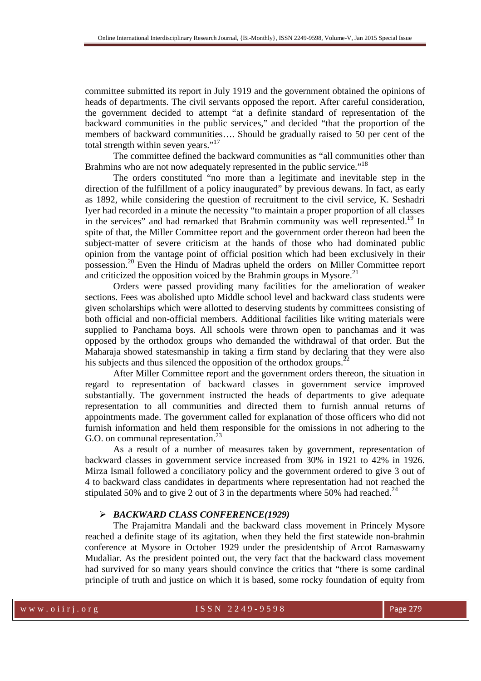committee submitted its report in July 1919 and the government obtained the opinions of heads of departments. The civil servants opposed the report. After careful consideration, the government decided to attempt "at a definite standard of representation of the backward communities in the public services," and decided "that the proportion of the members of backward communities…. Should be gradually raised to 50 per cent of the total strength within seven years."<sup>17</sup>

 The committee defined the backward communities as "all communities other than Brahmins who are not now adequately represented in the public service."<sup>18</sup>

 The orders constituted "no more than a legitimate and inevitable step in the direction of the fulfillment of a policy inaugurated" by previous dewans. In fact, as early as 1892, while considering the question of recruitment to the civil service, K. Seshadri Iyer had recorded in a minute the necessity "to maintain a proper proportion of all classes in the services" and had remarked that Brahmin community was well represented.<sup>19</sup> In spite of that, the Miller Committee report and the government order thereon had been the subject-matter of severe criticism at the hands of those who had dominated public opinion from the vantage point of official position which had been exclusively in their possession.<sup>20</sup> Even the Hindu of Madras upheld the orders on Miller Committee report and criticized the opposition voiced by the Brahmin groups in Mysore.<sup>21</sup>

 Orders were passed providing many facilities for the amelioration of weaker sections. Fees was abolished upto Middle school level and backward class students were given scholarships which were allotted to deserving students by committees consisting of both official and non-official members. Additional facilities like writing materials were supplied to Panchama boys. All schools were thrown open to panchamas and it was opposed by the orthodox groups who demanded the withdrawal of that order. But the Maharaja showed statesmanship in taking a firm stand by declaring that they were also his subjects and thus silenced the opposition of the orthodox groups.<sup>2</sup>

 After Miller Committee report and the government orders thereon, the situation in regard to representation of backward classes in government service improved substantially. The government instructed the heads of departments to give adequate representation to all communities and directed them to furnish annual returns of appointments made. The government called for explanation of those officers who did not furnish information and held them responsible for the omissions in not adhering to the G.O. on communal representation.<sup>23</sup>

 As a result of a number of measures taken by government, representation of backward classes in government service increased from 30% in 1921 to 42% in 1926. Mirza Ismail followed a conciliatory policy and the government ordered to give 3 out of 4 to backward class candidates in departments where representation had not reached the stipulated 50% and to give 2 out of 3 in the departments where 50% had reached.<sup>24</sup>

#### *BACKWARD CLASS CONFERENCE(1929)*

 The Prajamitra Mandali and the backward class movement in Princely Mysore reached a definite stage of its agitation, when they held the first statewide non-brahmin conference at Mysore in October 1929 under the presidentship of Arcot Ramaswamy Mudaliar. As the president pointed out, the very fact that the backward class movement had survived for so many years should convince the critics that "there is some cardinal principle of truth and justice on which it is based, some rocky foundation of equity from